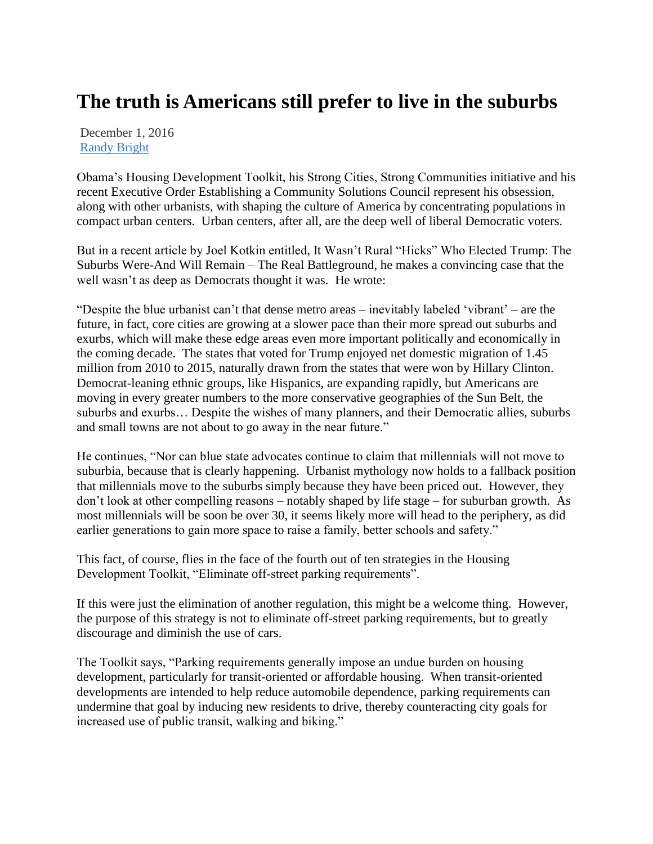## **The truth is Americans still prefer to live in the suburbs**

December 1, 2016 [Randy Bright](http://tulsabeacon.com/author/randy-bright/)

Obama"s Housing Development Toolkit, his Strong Cities, Strong Communities initiative and his recent Executive Order Establishing a Community Solutions Council represent his obsession, along with other urbanists, with shaping the culture of America by concentrating populations in compact urban centers. Urban centers, after all, are the deep well of liberal Democratic voters.

But in a recent article by Joel Kotkin entitled, It Wasn"t Rural "Hicks" Who Elected Trump: The Suburbs Were-And Will Remain – The Real Battleground, he makes a convincing case that the well wasn't as deep as Democrats thought it was. He wrote:

"Despite the blue urbanist can"t that dense metro areas – inevitably labeled "vibrant" – are the future, in fact, core cities are growing at a slower pace than their more spread out suburbs and exurbs, which will make these edge areas even more important politically and economically in the coming decade. The states that voted for Trump enjoyed net domestic migration of 1.45 million from 2010 to 2015, naturally drawn from the states that were won by Hillary Clinton. Democrat-leaning ethnic groups, like Hispanics, are expanding rapidly, but Americans are moving in every greater numbers to the more conservative geographies of the Sun Belt, the suburbs and exurbs… Despite the wishes of many planners, and their Democratic allies, suburbs and small towns are not about to go away in the near future."

He continues, "Nor can blue state advocates continue to claim that millennials will not move to suburbia, because that is clearly happening. Urbanist mythology now holds to a fallback position that millennials move to the suburbs simply because they have been priced out. However, they don"t look at other compelling reasons – notably shaped by life stage – for suburban growth. As most millennials will be soon be over 30, it seems likely more will head to the periphery, as did earlier generations to gain more space to raise a family, better schools and safety."

This fact, of course, flies in the face of the fourth out of ten strategies in the Housing Development Toolkit, "Eliminate off-street parking requirements".

If this were just the elimination of another regulation, this might be a welcome thing. However, the purpose of this strategy is not to eliminate off-street parking requirements, but to greatly discourage and diminish the use of cars.

The Toolkit says, "Parking requirements generally impose an undue burden on housing development, particularly for transit-oriented or affordable housing. When transit-oriented developments are intended to help reduce automobile dependence, parking requirements can undermine that goal by inducing new residents to drive, thereby counteracting city goals for increased use of public transit, walking and biking."